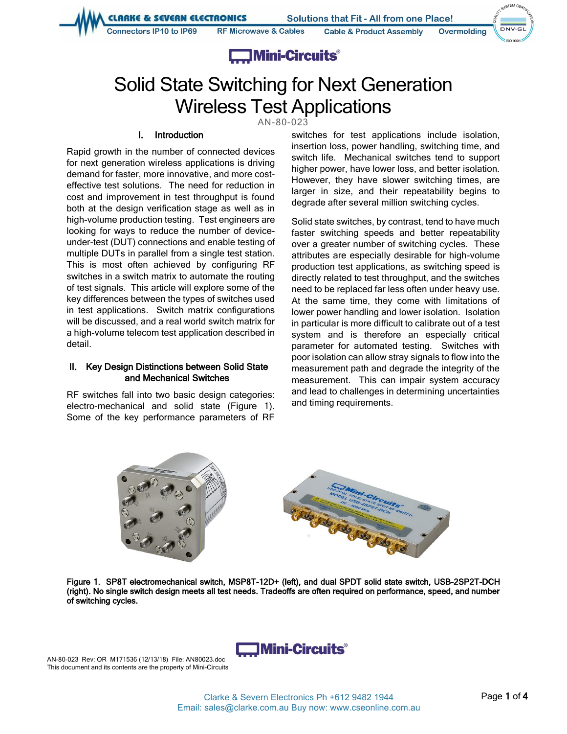**LIARKE & SEVERN ELECTRONICS** 

Connectors IP10 to IP69

**Solutions that Fit - All from one Place! Cable & Product Assembly** 



NSTEM CER

iso anni

# **Example 1** Mini-Circuits<sup>®</sup>

**RF Microwave & Cables** 

# Solid State Switching for Next Generation Wireless Test Applications

AN-80-023

# I. Introduction

Rapid growth in the number of connected devices for next generation wireless applications is driving demand for faster, more innovative, and more costeffective test solutions. The need for reduction in cost and improvement in test throughput is found both at the design verification stage as well as in high-volume production testing. Test engineers are looking for ways to reduce the number of deviceunder-test (DUT) connections and enable testing of multiple DUTs in parallel from a single test station. This is most often achieved by configuring RF switches in a switch matrix to automate the routing of test signals. This article will explore some of the key differences between the types of switches used in test applications. Switch matrix configurations will be discussed, and a real world switch matrix for a high-volume telecom test application described in detail.

#### II. Key Design Distinctions between Solid State and Mechanical Switches

RF switches fall into two basic design categories: electro-mechanical and solid state (Figure 1). Some of the key performance parameters of RF

switches for test applications include isolation, insertion loss, power handling, switching time, and switch life. Mechanical switches tend to support higher power, have lower loss, and better isolation. However, they have slower switching times, are larger in size, and their repeatability begins to degrade after several million switching cycles.

Solid state switches, by contrast, tend to have much faster switching speeds and better repeatability over a greater number of switching cycles. These attributes are especially desirable for high-volume production test applications, as switching speed is directly related to test throughput, and the switches need to be replaced far less often under heavy use. At the same time, they come with limitations of lower power handling and lower isolation. Isolation in particular is more difficult to calibrate out of a test system and is therefore an especially critical parameter for automated testing. Switches with poor isolation can allow stray signals to flow into the measurement path and degrade the integrity of the measurement. This can impair system accuracy and lead to challenges in determining uncertainties and timing requirements.



Figure 1. SP8T electromechanical switch, MSP8T-12D+ (left), and dual SPDT solid state switch, USB-2SP2T-DCH (right). No single switch design meets all test needs. Tradeoffs are often required on performance, speed, and number of switching cycles.



AN-80-023 Rev: OR M171536 (12/13/18) File: AN80023.doc This document and its contents are the property of Mini-Circuits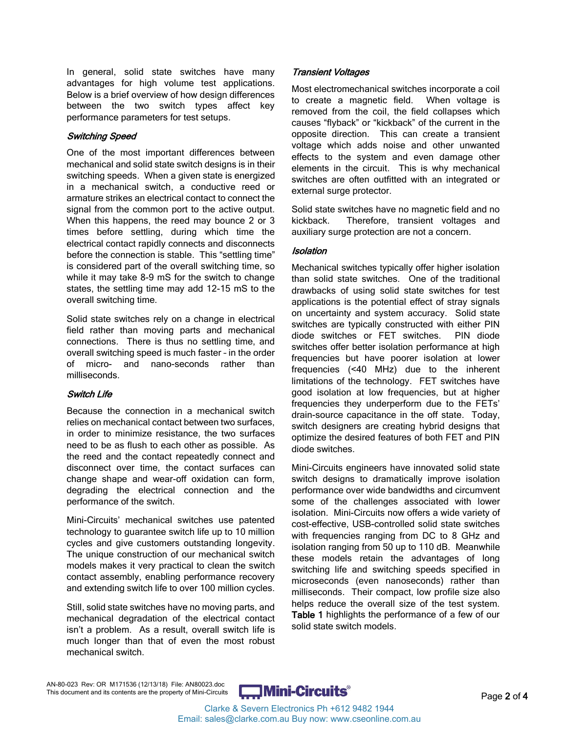In general, solid state switches have many advantages for high volume test applications. Below is a brief overview of how design differences between the two switch types affect key performance parameters for test setups.

#### Switching Speed

One of the most important differences between mechanical and solid state switch designs is in their switching speeds. When a given state is energized in a mechanical switch, a conductive reed or armature strikes an electrical contact to connect the signal from the common port to the active output. When this happens, the reed may bounce 2 or 3 times before settling, during which time the electrical contact rapidly connects and disconnects before the connection is stable. This "settling time" is considered part of the overall switching time, so while it may take 8-9 mS for the switch to change states, the settling time may add 12-15 mS to the overall switching time.

Solid state switches rely on a change in electrical field rather than moving parts and mechanical connections. There is thus no settling time, and overall switching speed is much faster – in the order of micro- and nano-seconds rather than milliseconds.

# Switch Life

Because the connection in a mechanical switch relies on mechanical contact between two surfaces, in order to minimize resistance, the two surfaces need to be as flush to each other as possible. As the reed and the contact repeatedly connect and disconnect over time, the contact surfaces can change shape and wear-off oxidation can form, degrading the electrical connection and the performance of the switch.

Mini-Circuits' mechanical switches use patented technology to guarantee switch life up to 10 million cycles and give customers outstanding longevity. The unique construction of our mechanical switch models makes it very practical to clean the switch contact assembly, enabling performance recovery and extending switch life to over 100 million cycles.

Still, solid state switches have no moving parts, and mechanical degradation of the electrical contact isn't a problem. As a result, overall switch life is much longer than that of even the most robust mechanical switch.

# Transient Voltages

Most electromechanical switches incorporate a coil to create a magnetic field. When voltage is removed from the coil, the field collapses which causes "flyback" or "kickback" of the current in the opposite direction. This can create a transient voltage which adds noise and other unwanted effects to the system and even damage other elements in the circuit. This is why mechanical switches are often outfitted with an integrated or external surge protector.

Solid state switches have no magnetic field and no kickback. Therefore, transient voltages and auxiliary surge protection are not a concern.

## **Isolation**

Mechanical switches typically offer higher isolation than solid state switches. One of the traditional drawbacks of using solid state switches for test applications is the potential effect of stray signals on uncertainty and system accuracy. Solid state switches are typically constructed with either PIN diode switches or FET switches. PIN diode switches offer better isolation performance at high frequencies but have poorer isolation at lower frequencies (<40 MHz) due to the inherent limitations of the technology. FET switches have good isolation at low frequencies, but at higher frequencies they underperform due to the FETs' drain-source capacitance in the off state. Today, switch designers are creating hybrid designs that optimize the desired features of both FET and PIN diode switches.

Mini-Circuits engineers have innovated solid state switch designs to dramatically improve isolation performance over wide bandwidths and circumvent some of the challenges associated with lower isolation. Mini-Circuits now offers a wide variety of cost-effective, USB-controlled solid state switches with frequencies ranging from DC to 8 GHz and isolation ranging from 50 up to 110 dB. Meanwhile these models retain the advantages of long switching life and switching speeds specified in microseconds (even nanoseconds) rather than milliseconds. Their compact, low profile size also helps reduce the overall size of the test system. Table 1 highlights the performance of a few of our solid state switch models.

AN-80-023 Rev: OR M171536 (12/13/18) File: AN80023.doc AN-80-023 Rev. OR WITT1336 (12T3/13) Prile: ANSO023.doc<br>This document and its contents are the property of Mini-Circuits **Circuits** V Page 2 of 4

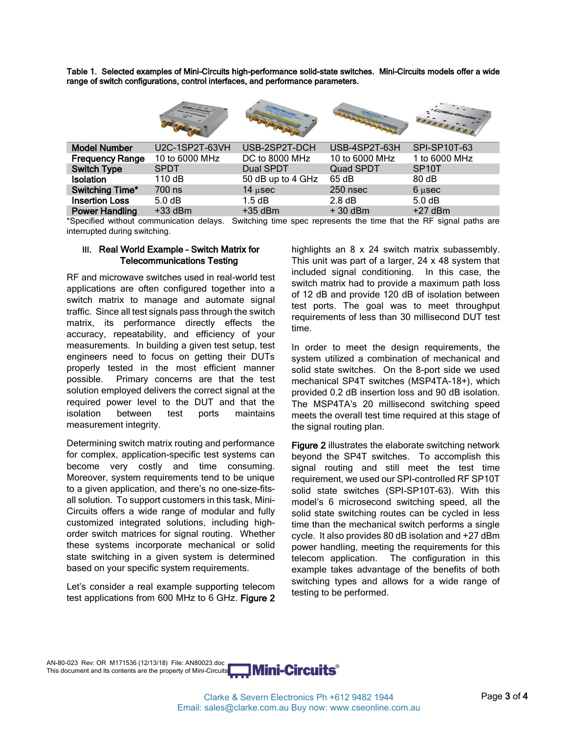Table 1. Selected examples of Mini-Circuits high-performance solid-state switches. Mini-Circuits models offer a wide range of switch configurations, control interfaces, and performance parameters.

|                        |                       |                   |                  | JAMAI-CIrcuits     |
|------------------------|-----------------------|-------------------|------------------|--------------------|
| <b>Model Number</b>    | <b>U2C-1SP2T-63VH</b> | USB-2SP2T-DCH     | USB-4SP2T-63H    | SPI-SP10T-63       |
| <b>Frequency Range</b> | 10 to 6000 MHz        | DC to 8000 MHz    | 10 to 6000 MHz   | 1 to 6000 MHz      |
| <b>Switch Type</b>     | <b>SPDT</b>           | Dual SPDT         | <b>Quad SPDT</b> | SP <sub>10</sub> T |
| Isolation              | 110 dB                | 50 dB up to 4 GHz | 65 dB            | 80dB               |
| Switching Time*        | 700 ns                | $14$ $\mu$ sec    | 250 nsec         | $6 \mu$ sec        |
| <b>Insertion Loss</b>  | 5.0 <sub>d</sub> B    | 1.5 dB            | $2.8 \text{ dB}$ | 5.0 dB             |
| <b>Power Handling</b>  | $+33$ dBm             | $+35$ dBm         | $+30$ dBm        | $+27$ dBm          |
|                        |                       |                   |                  |                    |

\*Specified without communication delays. Switching time spec represents the time that the RF signal paths are interrupted during switching.

#### III. Real World Example – Switch Matrix for Telecommunications Testing

RF and microwave switches used in real-world test applications are often configured together into a switch matrix to manage and automate signal traffic. Since all test signals pass through the switch matrix, its performance directly effects the accuracy, repeatability, and efficiency of your measurements. In building a given test setup, test engineers need to focus on getting their DUTs properly tested in the most efficient manner possible. Primary concerns are that the test solution employed delivers the correct signal at the required power level to the DUT and that the isolation between test ports maintains measurement integrity.

Determining switch matrix routing and performance for complex, application-specific test systems can become very costly and time consuming. Moreover, system requirements tend to be unique to a given application, and there's no one-size-fitsall solution. To support customers in this task, Mini-Circuits offers a wide range of modular and fully customized integrated solutions, including highorder switch matrices for signal routing. Whether these systems incorporate mechanical or solid state switching in a given system is determined based on your specific system requirements.

Let's consider a real example supporting telecom test applications from 600 MHz to 6 GHz. Figure 2 highlights an 8 x 24 switch matrix subassembly. This unit was part of a larger, 24 x 48 system that included signal conditioning. In this case, the switch matrix had to provide a maximum path loss of 12 dB and provide 120 dB of isolation between test ports. The goal was to meet throughput requirements of less than 30 millisecond DUT test time.

In order to meet the design requirements, the system utilized a combination of mechanical and solid state switches. On the 8-port side we used mechanical SP4T switches (MSP4TA-18+), which provided 0.2 dB insertion loss and 90 dB isolation. The MSP4TA's 20 millisecond switching speed meets the overall test time required at this stage of the signal routing plan.

Figure 2 illustrates the elaborate switching network beyond the SP4T switches. To accomplish this signal routing and still meet the test time requirement, we used our SPI-controlled RF SP10T solid state switches (SPI-SP10T-63). With this model's 6 microsecond switching speed, all the solid state switching routes can be cycled in less time than the mechanical switch performs a single cycle. It also provides 80 dB isolation and +27 dBm power handling, meeting the requirements for this telecom application. The configuration in this example takes advantage of the benefits of both switching types and allows for a wide range of testing to be performed.

AN-80-023 Rev: OR M171536 (12/13/18) File: AN80023.doc This document and its contents are the property of Mini-Circuits



Clarke & Severn Electronics Ph +612 9482 1944 Email: sales@clarke.com.au Buy now: www.cseonline.com.au